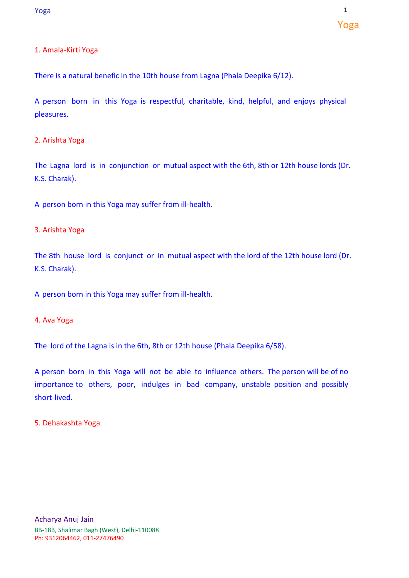# 1. Amala-Kirti Yoga

There is a natural benefic in the 10th house from Lagna (Phala Deepika 6/12).

A person born in this Yoga is respectful, charitable, kind, helpful, and enjoys physical pleasures.

## 2. Arishta Yoga

The Lagna lord is in conjunction or mutual aspect with the 6th, 8th or 12th house lords (Dr. K.S. Charak).

A person born in this Yoga may suffer from ill-health.

## 3. Arishta Yoga

The 8th house lord is conjunct or in mutual aspect with the lord of the 12th house lord (Dr. K.S. Charak).

A person born in this Yoga may suffer from ill-health.

### 4. Ava Yoga

The lord of the Lagna is in the 6th, 8th or 12th house (Phala Deepika 6/58).

A person born in this Yoga will not be able to influence others. The person will be of no importance to others, poor, indulges in bad company, unstable position and possibly short-lived.

#### 5. Dehakashta Yoga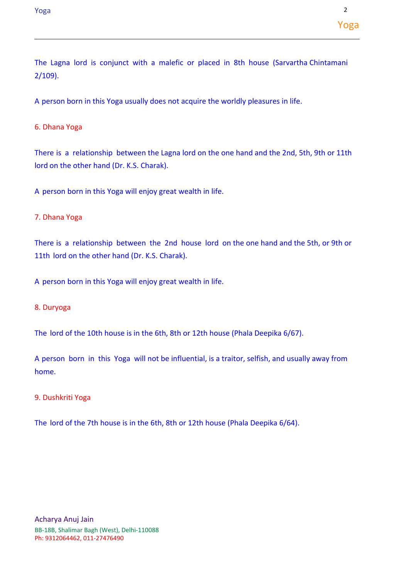The Lagna lord is conjunct with a malefic or placed in 8th house (Sarvartha Chintamani 2/109).

A person born in this Yoga usually does not acquire the worldly pleasures in life.

# 6. Dhana Yoga

There is a relationship between the Lagna lord on the one hand and the 2nd, 5th, 9th or 11th lord on the other hand (Dr. K.S. Charak).

A person born in this Yoga will enjoy great wealth in life.

# 7. Dhana Yoga

There is a relationship between the 2nd house lord on the one hand and the 5th, or 9th or 11th lord on the other hand (Dr. K.S. Charak).

A person born in this Yoga will enjoy great wealth in life.

# 8. Duryoga

The lord of the 10th house is in the 6th, 8th or 12th house (Phala Deepika 6/67).

A person born in this Yoga will not be influential, is a traitor, selfish, and usually away from home.

# 9. Dushkriti Yoga

The lord of the 7th house is in the 6th, 8th or 12th house (Phala Deepika 6/64).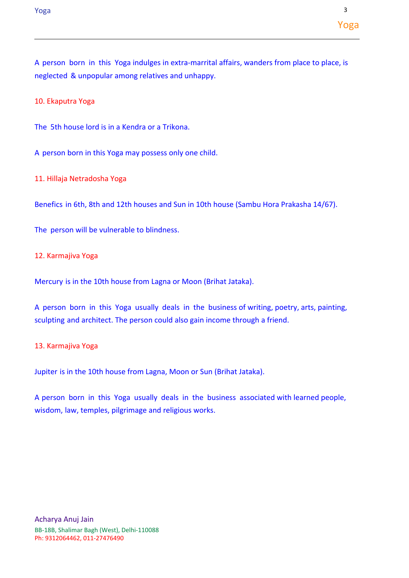10. Ekaputra Yoga

The 5th house lord is in a Kendra or a Trikona.

A person born in this Yoga may possess only one child.

11. Hillaja Netradosha Yoga

Benefics in 6th, 8th and 12th houses and Sun in 10th house (Sambu Hora Prakasha 14/67).

The person will be vulnerable to blindness.

12. Karmajiva Yoga

Mercury is in the 10th house from Lagna or Moon (Brihat Jataka).

A person born in this Yoga usually deals in the business of writing, poetry, arts, painting, sculpting and architect. The person could also gain income through a friend.

## 13. Karmajiva Yoga

Jupiter is in the 10th house from Lagna, Moon or Sun (Brihat Jataka).

A person born in this Yoga usually deals in the business associated with learned people, wisdom, law, temples, pilgrimage and religious works.

Yoga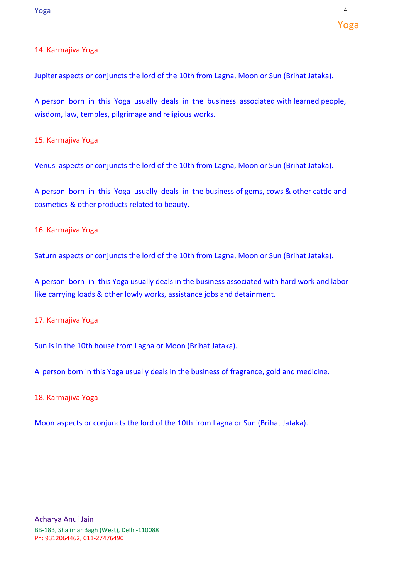## 14. Karmajiva Yoga

Jupiter aspects or conjuncts the lord of the 10th from Lagna, Moon or Sun (Brihat Jataka).

A person born in this Yoga usually deals in the business associated with learned people, wisdom, law, temples, pilgrimage and religious works.

15. Karmajiva Yoga

Venus aspects or conjuncts the lord of the 10th from Lagna, Moon or Sun (Brihat Jataka).

A person born in this Yoga usually deals in the business of gems, cows & other cattle and cosmetics & other products related to beauty.

#### 16. Karmajiva Yoga

Saturn aspects or conjuncts the lord of the 10th from Lagna, Moon or Sun (Brihat Jataka).

A person born in this Yoga usually deals in the business associated with hard work and labor like carrying loads & other lowly works, assistance jobs and detainment.

### 17. Karmajiva Yoga

Sun is in the 10th house from Lagna or Moon (Brihat Jataka).

A person born in this Yoga usually deals in the business of fragrance, gold and medicine.

#### 18. Karmajiva Yoga

Moon aspects or conjuncts the lord of the 10th from Lagna or Sun (Brihat Jataka).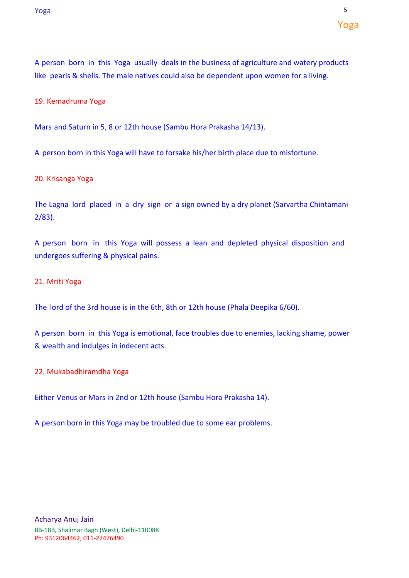19. Kemadruma Yoga

Mars and Saturn in 5, 8 or 12th house (Sambu Hora Prakasha 14/13).

A person born in this Yoga will have to forsake his/her birth place due to misfortune.

20. Krisanga Yoga

The Lagna lord placed in a dry sign or a sign owned by a dry planet (Sarvartha Chintamani 2/83).

A person born in this Yoga will possess a lean and depleted physical disposition and undergoes suffering & physical pains.

### 21. Mriti Yoga

The lord of the 3rd house is in the 6th, 8th or 12th house (Phala Deepika 6/60).

A person born in this Yoga is emotional, face troubles due to enemies, lacking shame, power & wealth and indulges in indecent acts.

22. Mukabadhiramdha Yoga

Either Venus or Mars in 2nd or 12th house (Sambu Hora Prakasha 14).

A person born in this Yoga may be troubled due to some ear problems.

Yoga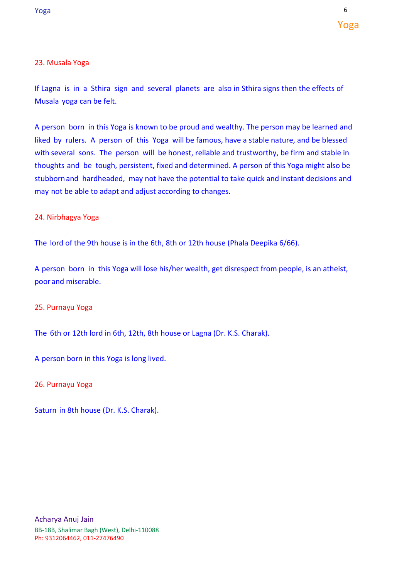## 23. Musala Yoga

If Lagna is in a Sthira sign and several planets are also in Sthira signs then the effects of Musala yoga can be felt.

A person born in this Yoga is known to be proud and wealthy. The person may be learned and liked by rulers. A person of this Yoga will be famous, have a stable nature, and be blessed with several sons. The person will be honest, reliable and trustworthy, be firm and stable in thoughts and be tough, persistent, fixed and determined. A person of this Yoga might also be stubbornand hardheaded, may not have the potential to take quick and instant decisions and may not be able to adapt and adjust according to changes.

## 24. Nirbhagya Yoga

The lord of the 9th house is in the 6th, 8th or 12th house (Phala Deepika 6/66).

A person born in this Yoga will lose his/her wealth, get disrespect from people, is an atheist, poor and miserable.

## 25. Purnayu Yoga

The 6th or 12th lord in 6th, 12th, 8th house or Lagna (Dr. K.S. Charak).

A person born in this Yoga is long lived.

26. Purnayu Yoga

Saturn in 8th house (Dr. K.S. Charak).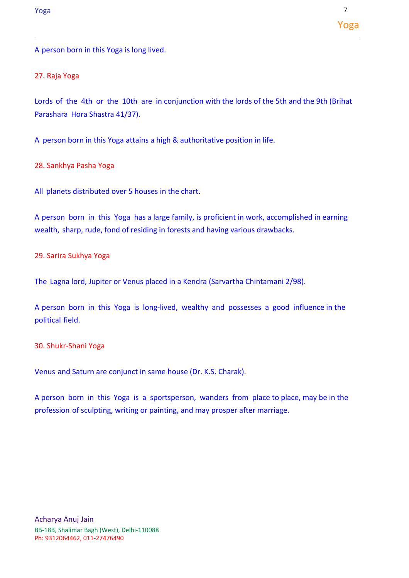A person born in this Yoga is long lived.

# 27. Raja Yoga

Lords of the 4th or the 10th are in conjunction with the lords of the 5th and the 9th (Brihat Parashara Hora Shastra 41/37).

A person born in this Yoga attains a high & authoritative position in life.

28. Sankhya Pasha Yoga

All planets distributed over 5 houses in the chart.

A person born in this Yoga has a large family, is proficient in work, accomplished in earning wealth, sharp, rude, fond of residing in forests and having various drawbacks.

29. Sarira Sukhya Yoga

The Lagna lord, Jupiter or Venus placed in a Kendra (Sarvartha Chintamani 2/98).

A person born in this Yoga is long-lived, wealthy and possesses a good influence in the political field.

30. Shukr-Shani Yoga

Venus and Saturn are conjunct in same house (Dr. K.S. Charak).

A person born in this Yoga is a sportsperson, wanders from place to place, may be in the profession of sculpting, writing or painting, and may prosper after marriage.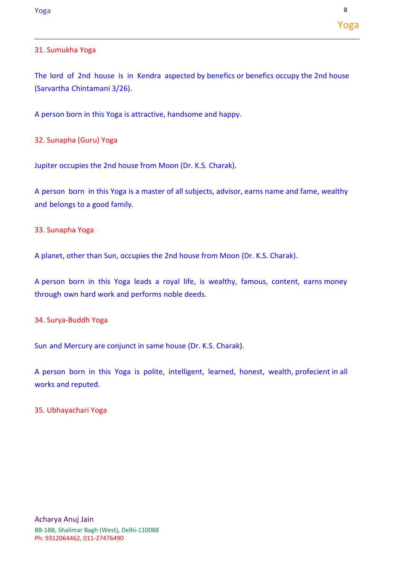# 31. Sumukha Yoga

The lord of 2nd house is in Kendra aspected by benefics or benefics occupy the 2nd house (Sarvartha Chintamani 3/26).

A person born in this Yoga is attractive, handsome and happy.

32. Sunapha (Guru) Yoga

Jupiter occupies the 2nd house from Moon (Dr. K.S. Charak).

A person born in this Yoga is a master of all subjects, advisor, earns name and fame, wealthy and belongs to a good family.

33. Sunapha Yoga

A planet, other than Sun, occupies the 2nd house from Moon (Dr. K.S. Charak).

A person born in this Yoga leads a royal life, is wealthy, famous, content, earns money through own hard work and performs noble deeds.

34. Surya-Buddh Yoga

Sun and Mercury are conjunct in same house (Dr. K.S. Charak).

A person born in this Yoga is polite, intelligent, learned, honest, wealth, profecient in all works and reputed.

35. Ubhayachari Yoga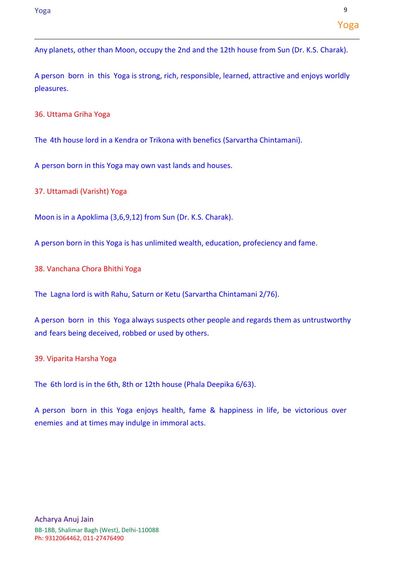A person born in this Yoga is strong, rich, responsible, learned, attractive and enjoys worldly pleasures.

36. Uttama Griha Yoga

The 4th house lord in a Kendra or Trikona with benefics (Sarvartha Chintamani).

A person born in this Yoga may own vast lands and houses.

37. Uttamadi (Varisht) Yoga

Moon is in a Apoklima (3,6,9,12) from Sun (Dr. K.S. Charak).

A person born in this Yoga is has unlimited wealth, education, profeciency and fame.

38. Vanchana Chora Bhithi Yoga

The Lagna lord is with Rahu, Saturn or Ketu (Sarvartha Chintamani 2/76).

A person born in this Yoga always suspects other people and regards them as untrustworthy and fears being deceived, robbed or used by others.

39. Viparita Harsha Yoga

The 6th lord is in the 6th, 8th or 12th house (Phala Deepika 6/63).

A person born in this Yoga enjoys health, fame & happiness in life, be victorious over enemies and at times may indulge in immoral acts.

Yoga